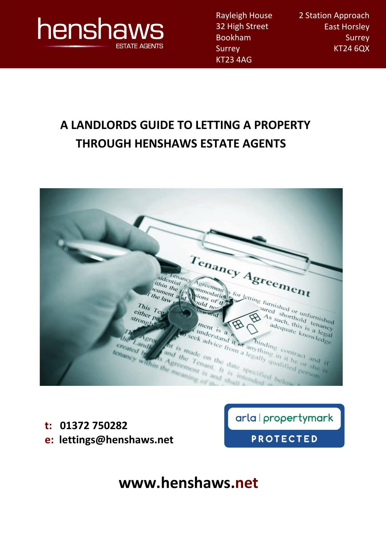

Rayleigh House 32 High Street Bookham **Surrey** KT23 4AG

2 Station Approach East Horsley Surrey KT24 6QX

## **A LANDLORDS GUIDE TO LETTING A PROPERTY THROUGH HENSHAWS ESTATE AGENTS**

| $T_{\rm{e_{Ra_{\rm{Rcy}}}}A_{\rm{gre_{e_{\rm{m}}e_{\rm{Rt}}}}}$<br>dential electromagnetic stor letting furnished or unfurnished<br>sidential Commodatica                                                                                                             |
|-----------------------------------------------------------------------------------------------------------------------------------------------------------------------------------------------------------------------------------------------------------------------|
| Tithin the first lions of the<br>peument and Nould not<br>If the law g<br>This Tend<br>sured shorthold tenancy<br>either page                                                                                                                                         |
| As such, this is a legal<br>strongly<br>田<br>ment is a n<br>adequate knowledge<br>ARTICO                                                                                                                                                                              |
| Aunderstand it of anything in it he or she is<br>to seek advice from a legally qualified person<br>Landley<br>In is made on the date specified below<br>created by As Agreement is and shall<br>and the Tenant, It is interested<br>tenancy within the meaning of the |
|                                                                                                                                                                                                                                                                       |

**t: 01372 750282 e: lettings@henshaws.net** arla | propertymark

**PROTECTED** 

**www.henshaws.net**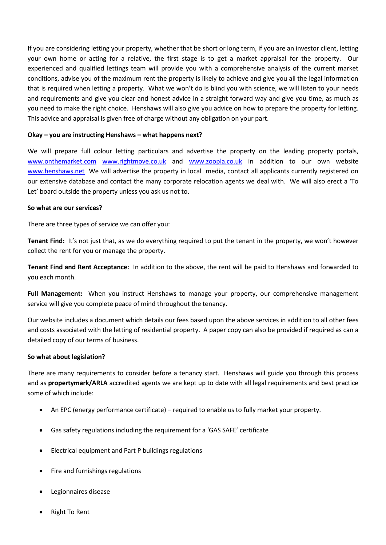If you are considering letting your property, whether that be short or long term, if you are an investor client, letting your own home or acting for a relative, the first stage is to get a market appraisal for the property. Our experienced and qualified lettings team will provide you with a comprehensive analysis of the current market conditions, advise you of the maximum rent the property is likely to achieve and give you all the legal information that is required when letting a property. What we won't do is blind you with science, we will listen to your needs and requirements and give you clear and honest advice in a straight forward way and give you time, as much as you need to make the right choice. Henshaws will also give you advice on how to prepare the property for letting. This advice and appraisal is given free of charge without any obligation on your part.

## **Okay – you are instructing Henshaws – what happens next?**

We will prepare full colour letting particulars and advertise the property on the leading property portals, [www.onthemarket.com](http://www.onthemarket.com/) [www.rightmove.co.uk](http://www.rightmove.co.uk/) and [www.zoopla.co.uk](http://www.zoopla.co.uk/) in addition to our own website [www.henshaws.net](http://www.henshaws.net/) We will advertise the property in local media, contact all applicants currently registered on our extensive database and contact the many corporate relocation agents we deal with. We will also erect a 'To Let' board outside the property unless you ask us not to.

## **So what are our services?**

There are three types of service we can offer you:

**Tenant Find:** It's not just that, as we do everything required to put the tenant in the property, we won't however collect the rent for you or manage the property.

**Tenant Find and Rent Acceptance:** In addition to the above, the rent will be paid to Henshaws and forwarded to you each month.

**Full Management:** When you instruct Henshaws to manage your property, our comprehensive management service will give you complete peace of mind throughout the tenancy.

Our website includes a document which details our fees based upon the above services in addition to all other fees and costs associated with the letting of residential property. A paper copy can also be provided if required as can a detailed copy of our terms of business.

## **So what about legislation?**

There are many requirements to consider before a tenancy start. Henshaws will guide you through this process and as **propertymark/ARLA** accredited agents we are kept up to date with all legal requirements and best practice some of which include:

- An EPC (energy performance certificate) required to enable us to fully market your property.
- Gas safety regulations including the requirement for a 'GAS SAFE' certificate
- Electrical equipment and Part P buildings regulations
- Fire and furnishings regulations
- Legionnaires disease
- Right To Rent